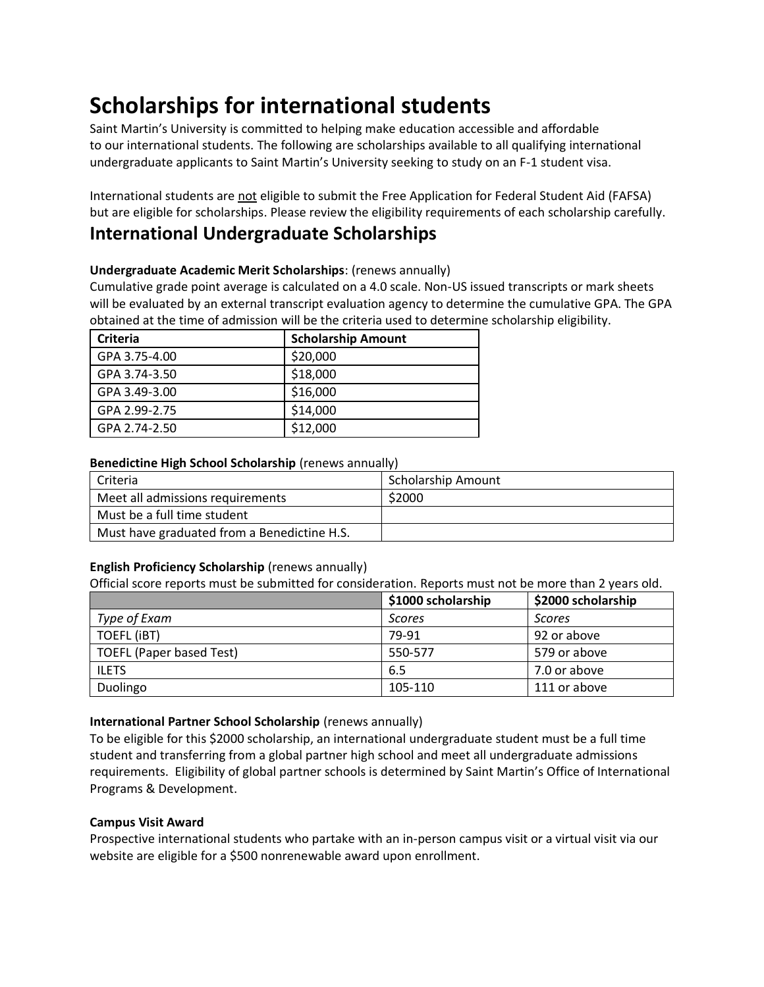# **Scholarships for international students**

Saint Martin's University is committed to helping make education accessible and affordable to our international students. The following are scholarships available to all qualifying international undergraduate applicants to Saint Martin's University seeking to study on an F-1 student visa.

International students are not eligible to submit the Free Application for Federal Student Aid (FAFSA) but are eligible for scholarships. Please review the eligibility requirements of each scholarship carefully.

# **International Undergraduate Scholarships**

### **Undergraduate Academic Merit Scholarships**: (renews annually)

Cumulative grade point average is calculated on a 4.0 scale. Non-US issued transcripts or mark sheets will be evaluated by an external transcript evaluation agency to determine the cumulative GPA. The GPA obtained at the time of admission will be the criteria used to determine scholarship eligibility.

| <b>Criteria</b> | <b>Scholarship Amount</b> |
|-----------------|---------------------------|
| GPA 3.75-4.00   | \$20,000                  |
| GPA 3.74-3.50   | \$18,000                  |
| GPA 3.49-3.00   | \$16,000                  |
| GPA 2.99-2.75   | \$14,000                  |
| GPA 2.74-2.50   | \$12,000                  |

#### **Benedictine High School Scholarship** (renews annually)

| Criteria                                    | <b>Scholarship Amount</b> |
|---------------------------------------------|---------------------------|
| Meet all admissions requirements            | \$2000                    |
| Must be a full time student                 |                           |
| Must have graduated from a Benedictine H.S. |                           |

## **English Proficiency Scholarship** (renews annually)

Official score reports must be submitted for consideration. Reports must not be more than 2 years old.

|                          | \$1000 scholarship | \$2000 scholarship |
|--------------------------|--------------------|--------------------|
| Type of Exam             | <b>Scores</b>      | Scores             |
| TOEFL (iBT)              | 79-91              | 92 or above        |
| TOEFL (Paper based Test) | 550-577            | 579 or above       |
| <b>ILETS</b>             | 6.5                | 7.0 or above       |
| Duolingo                 | 105-110            | 111 or above       |

#### **International Partner School Scholarship** (renews annually)

To be eligible for this \$2000 scholarship, an international undergraduate student must be a full time student and transferring from a global partner high school and meet all undergraduate admissions requirements. Eligibility of global partner schools is determined by Saint Martin's Office of International Programs & Development.

## **Campus Visit Award**

Prospective international students who partake with an in-person campus visit or a virtual visit via our website are eligible for a \$500 nonrenewable award upon enrollment.